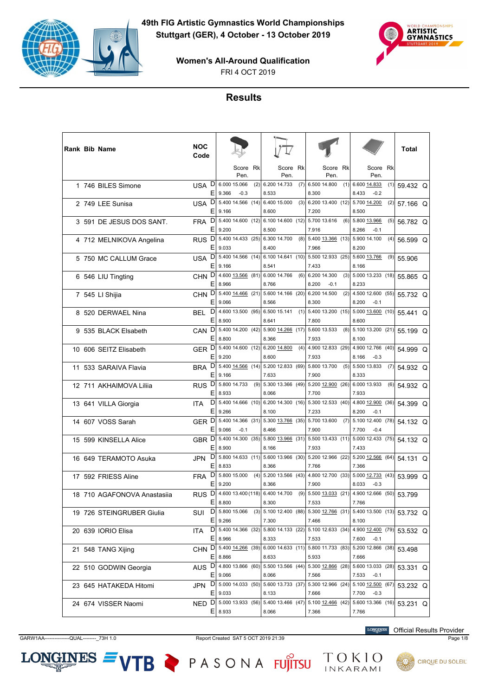



**Women's All-Around Qualification**

FRI 4 OCT 2019

# **Results**

|  | <b>Rank Bib Name</b>        | NOC<br>Code           |                                                                                            |                                                                             |                                              |                                                                                  | Total    |
|--|-----------------------------|-----------------------|--------------------------------------------------------------------------------------------|-----------------------------------------------------------------------------|----------------------------------------------|----------------------------------------------------------------------------------|----------|
|  |                             |                       | Score Rk<br>Pen.                                                                           | Score<br>Rk<br>Pen.                                                         | Score<br>Rk<br>Pen.                          | Score Rk<br>Pen.                                                                 |          |
|  | 1 746 BILES Simone          | USA D<br>Ε            | 6.000 15.066<br>(2)<br>9.366<br>$-0.3$                                                     | 6.200 14.733<br>(7)<br>8.533                                                | 6.500 14.800<br>8.300                        | $(1)$ 6.600 14.833<br>(1)<br>8.433<br>$-0.2$                                     | 59.432 Q |
|  | 2 749 LEE Sunisa            | D<br>USA<br>Ε         | 5.400 14.566 (14)<br>9.166                                                                 | 6.400 15.000<br>(3)<br>8.600                                                | 6.200 13.400 (12) 5.700 14.200<br>7.200      | (2)<br>8.500                                                                     | 57.166 Q |
|  | 3 591 DE JESUS DOS SANT.    | D<br><b>FRA</b><br>Ε  | 5.400 14.600 (12)<br>9.200                                                                 | 6.10014.600(12)<br>8.500                                                    | 5.700 13.616<br>(6)<br>7.916                 | 5.800 13.966<br>(5)<br>8.266<br>$-0.1$                                           | 56.782 Q |
|  | 4 712 MELNIKOVA Angelina    | RUS <sub>D</sub><br>Ε | 5.400 14.433 (25)<br>9.033                                                                 | 6.300 14.700<br>8.400                                                       | $(8)$ 5.400 13.366 (13)<br>7.966             | 5.900 14.100<br>(4)<br>8.200                                                     | 56.599 Q |
|  | 5 750 MC CALLUM Grace       | D<br>USA<br>Ε         | 9.166                                                                                      | 5.400 14.566 (14) 6.100 14.641 (10) 5.500 12.933 (25) 5.600 13.766<br>8.541 | 7.433                                        | (9)<br>8.166                                                                     | 55.906   |
|  | 6 546 LIU Tingting          | D<br><b>CHN</b><br>Е  | 4.600 13.566 (81)<br>8.966                                                                 | 6.000 14.766<br>(6)<br>8.766                                                | 6.200 14.300<br>(3)<br>8.200<br>$-0.1$       | 5.000 13.233 (18)<br>8.233                                                       | 55.865 Q |
|  | 7 545 LI Shijia             | CHN <sub>D</sub><br>Ε | 5.400 14.466 (21)<br>9.066                                                                 | 5.600 14.166 (20)<br>8.566                                                  | 6.200 14.500<br>(2)<br>8.300                 | 4.500 12.600 (55)<br>8.200<br>$-0.1$                                             | 55.732 Q |
|  | 8 520 DERWAEL Nina          | D<br>BEL<br>Е         | 4.600 13.500 (95) 6.500 15.141<br>8.900                                                    | 8.641                                                                       | 7.800                                        | $(1)$ 5.400 13.200 $(15)$ 5.000 13.600 (10)<br>8.600                             | 55.441 Q |
|  | 9 535 BLACK Elsabeth        | D<br><b>CAN</b><br>E  | 5.400 14.200<br>(42)<br>8.800                                                              | 5.900 14.266 (17)<br>8.366                                                  | 5.600 13.533<br>(8)<br>7.933                 | 5.100 13.200 (21)<br>8.100                                                       | 55.199 Q |
|  | 10 606 SEITZ Elisabeth      | GER D<br>Ε            | 5.400 14.600 (12) 6.200 14.800<br>9.200                                                    | 8.600                                                                       |                                              | $(4)$ 4.900 12.833 (29) 4.900 12.766 (40)                                        | 54.999 Q |
|  | 11 533 SARAIVA Flavia       | D<br>BRA              |                                                                                            | 5.400 14.566 (14) 5.200 12.833 (69) 5.800 13.700                            | 7.933                                        | 8.166<br>$-0.3$<br>$(5)$ 5.500 13.833<br>(7)                                     | 54.932 Q |
|  | 12 711 AKHAIMOVA Lilija     | Ε<br>D<br><b>RUS</b>  | 9.166<br>5.800 14.733<br>(9)                                                               | 7.633<br>5.300 13.366 (49)                                                  | 7.900<br>5.200 12.900<br>(26)                | 8.333<br>6.000 13.933<br>(6)                                                     | 54.932 Q |
|  | 13 641 VILLA Giorgia        | Ε<br>D<br><b>ITA</b>  | 8.933<br>5.400 14.666 (10)                                                                 | 8.066                                                                       | 7.700<br>6.200 14.300 (16) 5.300 12.533 (40) | 7.933<br>4.800 12.900<br>(36)                                                    | 54.399 Q |
|  | 14 607 VOSS Sarah           | Ε<br>GER <sup>D</sup> | 9.266                                                                                      | 8.100<br>5.400 14.366 (31) 5.300 13.766 (35) 5.700 13.600                   | 7.233<br>(7)                                 | 8.200<br>$-0.1$<br>5.100 12.400 (78)                                             | 54.132 Q |
|  | 15 599 KINSELLA Alice       | Е<br>GBR <sub>D</sub> | 9.066<br>$-0.1$<br>5.400 14.300<br>(35)                                                    | 8.466                                                                       | 7.900<br>5.800 13.966 (31) 5.500 13.433 (11) | 7.700<br>$-0.4$<br>5.000 12.433 (75)                                             | 54.132 Q |
|  | 16 649 TERAMOTO Asuka       | E<br>D<br>JPN         | 8.900                                                                                      | 8.166                                                                       | 7.933                                        | 7.433<br>5.800 14.633 (11) 5.600 13.966 (30) 5.200 12.966 (22) 5.200 12.566 (64) | 54.131 Q |
|  | 17 592 FRIESS Aline         | E<br>D<br>FRA         | 8.833<br>5.800 15.000                                                                      | 8.366<br>$(4)$ 5.200 13.566 (43)                                            | 7.766                                        | 7.366<br>4.800 12.700 (33) 5.000 12.733 (43)                                     | 53.999 Q |
|  | 18 710 AGAFONOVA Anastasija | Ε<br>D<br>RUS         | 9.200<br>4.600 13.400 (118) 6.400 14.700                                                   | 8.366<br>(9)                                                                | 7.900<br>5.500 13.033<br>(21)                | 8.033<br>$-0.3$<br>4.900 12.666 (50)                                             | 53.799   |
|  | 19 726 STEINGRUBER Giulia   | Ε<br>D<br>SUI         | 8.800<br>5.800 15.066<br>(3)                                                               | 8.300                                                                       | 7.533                                        | 7.766<br>5.100 12.400 (88) 5.300 12.766 (31) 5.400 13.500 (13)                   | 53.732 Q |
|  | 20 639 IORIO Elisa          | Ε<br>ITA              | 9.266<br>D   5.400 14.366 (32)   5.800 14.133 (22)   5.100 12.633 (34)   4.900 12.400 (79) | 7.300                                                                       | 7.466                                        | 8.100                                                                            | 53.532 Q |
|  | 21 548 TANG Xijing          | Ε<br>CHN D            | 8.966<br>5.400 14.266 (39)                                                                 | 8.333                                                                       | 7.533<br>6.000 14.633 (11) 5.800 11.733 (83) | 7.600<br>$-0.1$<br>5.200 12.866 (38)                                             | 53.498   |
|  | 22 510 GODWIN Georgia       | Ε<br>AUS <sub>D</sub> | 8.866<br>4.800 13.866 (60)                                                                 | 8.633                                                                       | 5.933                                        | 7.666<br>5.500 13.566 (44) 5.300 12.866 (28) 5.600 13.033 (28)                   | 53.331 Q |
|  | 23 645 HATAKEDA Hitomi      | Е                     | 9.066<br>JPN D 5.000 14.033 (50) 5.600 13.733 (37) 5.300 12.966 (24) 5.100 12.500 (67)     | 8.066                                                                       | 7.566                                        | 7.533<br>$-0.1$                                                                  | 53.232 Q |
|  |                             |                       | $E$   9.033<br>NED D 5.000 13.933 (56)                                                     | 8.133                                                                       | 7.666<br>5.400 13.466 (47) 5.100 12.466 (42) | 7.700<br>$-0.3$<br>5.600 13.366 (16)                                             |          |
|  | 24 674 VISSER Naomi         | E,                    | 8.933                                                                                      | 8.066                                                                       | 7.366                                        | 7.766                                                                            | 53.231 Q |

GARW1AA---------------QUAL--------\_73H 1.0 Report Created SAT 5 OCT 2019 21:39 Page 1/8

 $LONGINES =$ 

VTB PASONA FUJITSU

**LONGINES** Official Results Provider

TOKIO<br>INKARAMI

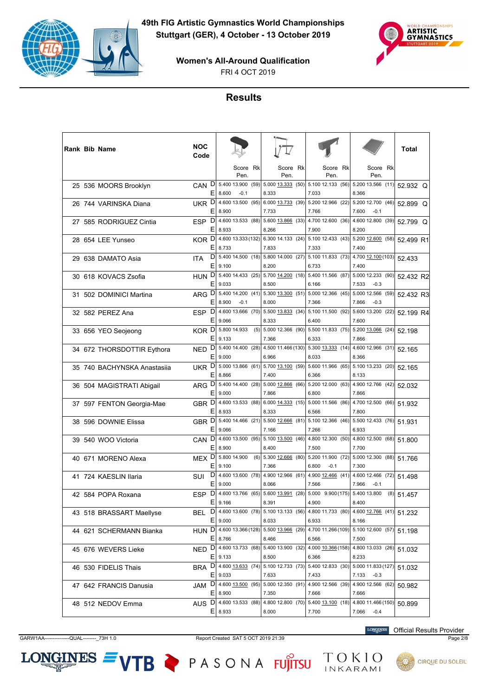



FRI 4 OCT 2019

## **Results**

|  | <b>Rank Bib Name</b>        | NOC<br>Code      |        |                                                                            |                                |                                                                 |                                                |     | <b>Total</b> |  |
|--|-----------------------------|------------------|--------|----------------------------------------------------------------------------|--------------------------------|-----------------------------------------------------------------|------------------------------------------------|-----|--------------|--|
|  |                             |                  |        | Score Rk<br>Pen.                                                           | Score Rk<br>Pen.               | Score Rk<br>Pen.                                                | Score Rk<br>Pen.                               |     |              |  |
|  | 25 536 MOORS Brooklyn       | CAN D            | Ε      | 5.400 13.900 (59)<br>8.600<br>$-0.1$                                       | 8.333                          | 5.000 13.333 (50) 5.100 12.133 (56) 5.200 13.566 (11)<br>7.033  | 8.366                                          |     | 52.932 Q     |  |
|  | 26 744 VARINSKA Diana       | UKR D            | Е      | 4.600 13.500 (95)<br>8.900                                                 | 7.733                          | 6.000 13.733 (39) 5.200 12.966 (22) 5.200 12.700 (46)<br>7.766  | 7.600<br>$-0.1$                                |     | 52.899 Q     |  |
|  | 27 585 RODRIGUEZ Cintia     | <b>ESP</b>       | D<br>Е | 4.600 13.533 (88)<br>8.933                                                 | 5.600 13.866 (33)<br>8.266     | 4.700 12.600 (36)<br>7.900                                      | 4.600 12.800 (39)<br>8.200                     |     | 52.799 Q     |  |
|  | 28 654 LEE Yunseo           | KOR D            | E      | 4.600 13.333 (132)<br>8.733                                                | 7.833                          | 6.300 14.133 (24) 5.100 12.433 (43) 5.200 12.600 (58)<br>7.333  | 7.400                                          |     | 52.499 R1    |  |
|  | 29 638 DAMATO Asia          | ITA              | D<br>Е | 5.400 14.500 (18)<br>9.100                                                 | 8.200                          | 5.800 14.000 (27) 5.100 11.833 (73)<br>6.733                    | 4.700 12.100 (103)<br>7.400                    |     | 52.433       |  |
|  | 30 618 KOVACS Zsofia        | HUN D            | Е      | 5.400 14.433 (25)<br>9.033                                                 | 5.700 14.200 (18)<br>8.500     | 5.400 11.566 (87)<br>6.166                                      | 5.000 12.233 (90)<br>7.533<br>$-0.3$           |     | 52.432 R2    |  |
|  | 31 502 DOMINICI Martina     | ARG D            | Е      | 5.400 14.200 (41)<br>8.900<br>$-0.1$                                       | 8.000                          | 5.300 13.300 (51) 5.000 12.366 (45)<br>7.366                    | 5.000 12.566 (59)<br>7.866<br>$-0.3$           |     | 52.432 R3    |  |
|  | 32 582 PEREZ Ana            | ESP D            | Е      | 4.600 13.666 (70)<br>9.066                                                 | 8.333                          | 5.500 13.833 (34) 5.100 11.500 (92)<br>6.400                    | 5.600 13.200 (22)<br>7.600                     |     | 52.199 R4    |  |
|  | 33 656 YEO Seojeong         | KOR <sup>D</sup> | Ε      | 5.800 14.933<br>(5)<br>9.133                                               | 5.000 12.366 (90)<br>7.366     | $5.500$ 11.833 (75)<br>6.333                                    | 5.200 13.066 (24)<br>7.866                     |     | 52.198       |  |
|  | 34 672 THORSDOTTIR Eythora  | NED.             | D<br>E | 5.400 14.400 (28)<br>9.000                                                 | 6.966                          | 4.500 11.466 (130) 5.300 13.333 (14)<br>8.033                   | 4.600 12.966 (31)<br>8.366                     |     | 52.165       |  |
|  | 35 740 BACHYNSKA Anastasija | UKR D            | Ε      | $5.000$ 13.866 (61)<br>8.866                                               | 7.400                          | 5.700 13.100 (59) 5.600 11.966 (65) 5.100 13.233 (20)<br>6.366  | 8.133                                          |     | 52.165       |  |
|  | 36 504 MAGISTRATI Abigail   | ARG D            | Ε      | 5.400 14.400 (28)<br>9.000                                                 | $5.000$ 12.866 (66)<br>7.866   | $5.200$ 12.000 (63)<br>6.800                                    | 4.900 12.766 (42)<br>7.866                     |     | 52.032       |  |
|  | 37 597 FENTON Georgia-Mae   | GBR <sub>D</sub> | Ε      | 4.600 13.533 (88)<br>8.933                                                 | $6.000$ 14.333 (15)<br>8.333   | 5.000 11.566 (86)<br>6.566                                      | 4.700 12.500 (66)<br>7.800                     |     | 51.932       |  |
|  | 38 596 DOWNIE Elissa        | GBR <sup>D</sup> | Е      | 5.400 14.466 (21)<br>9.066                                                 | 7.166                          | 5.500 12.666 (81) 5.100 12.366 (46) 5.500 12.433 (76)<br>7.266  | 6.933                                          |     | 51.931       |  |
|  | 39 540 WOO Victoria         | <b>CAN</b>       | D<br>Ε | 4.600 13.500 (95)<br>8.900                                                 | $5.100$ $13.500$ (46)<br>8.400 | 4.800 12.300 (50)<br>7.500                                      | 4.800 12.500 (68)<br>7.700                     |     | 51.800       |  |
|  | 40 671 MORENO Alexa         | MEX <sub>D</sub> | E      | 5.800 14.900<br>(6)<br>9.100                                               | 5.300 12.666 (80)<br>7.366     | 5.200 11.900 (72)<br>6.800<br>$-0.1$                            | 5.000 12.300 (88)<br>7.300                     |     | 51.766       |  |
|  | 41 724 KAESLIN Ilaria       | SUI              | D<br>Е | 4.600 13.600 (78)<br>9.000                                                 | 8.066                          | 4.900 12.966 (61) 4.900 12.466 (41) 4.600 12.466 (72)<br>7.566  | 7.966<br>$-0.1$                                |     | 51.498       |  |
|  | 42 584 POPA Roxana          | <b>ESP</b>       | D<br>Ε | 4.600 13.766 (65)<br>9.166                                                 | 5.600 13.991 (28)<br>8.391     | 5.000 9.900 (175)<br>4.900                                      | 5.400 13.800<br>8.400                          | (8) | 51.457       |  |
|  | 43 518 BRASSART Maellyse    | BEL              | D<br>Е | 4.600 13.600 (78)<br>9.000                                                 | 5.100 13.133 (56)<br>8.033     | 4.800 11.733 (80)<br>6.933                                      | 4.600 12.766 (41)<br>8.166                     |     | 51.232       |  |
|  | 44 621 SCHERMANN Bianka     |                  | E.     | HUN D 4.600 13.366 (128)<br>8.766                                          | 8.466                          | 5.500 13.966 (29) 4.700 11.266 (109) 5.100 12.600 (57)<br>6.566 | 7.500                                          |     | 51.198       |  |
|  | 45 676 WEVERS Lieke         | NED <sub>D</sub> |        | 4.600 13.733 (68)                                                          | 5.400 13.900 (32)              | 4.000 10.366 (158)                                              | 4.800 13.033 (26)                              |     | 51.032       |  |
|  | 46 530 FIDELIS Thais        | BRA D            | Е      | 9.133<br>4.600 13.633 (74)                                                 | 8.500                          | 6.366<br>5.100 12.733 (73) 5.400 12.833 (30)                    | 8.233<br>5.000 11.833 (127)                    |     | 51.032       |  |
|  | 47 642 FRANCIS Danusia      |                  |        | $E$   9.033<br>JAM D 4.600 13.500 (95) 5.000 12.350 (91) 4.900 12.566 (39) | 7.633                          | 7.433                                                           | 7.133<br>$-0.3$<br>4.900 12.566 (62)           |     | 50.982       |  |
|  | 48 512 NEDOV Emma           |                  | E      | $E$   8.900<br>AUS D 4.600 13.533 (88)<br>8.933                            | 7.350<br>8.000                 | 7.666<br>4.800 12.800 (70) 5.400 13.100 (18)<br>7.700           | 7.666<br>4.800 11.466 (150)<br>7.066<br>$-0.4$ |     | 50.899       |  |

GARW1AA---------------QUAL--------\_73H 1.0 Report Created SAT 5 OCT 2019 21:39 Page 2/8

 $LONGINES =$ 

VTB PASONA FUJITSU TOKIO

**LONGINES** Official Results Provider

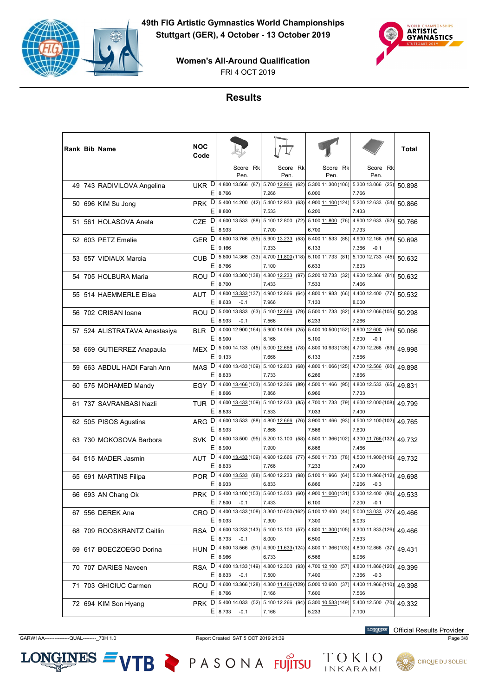



FRI 4 OCT 2019

# **Results**

|  | Rank Bib Name                 | NOC<br>Code              |             |                                     |                                                                                                   |                             |      |                                       | Total  |
|--|-------------------------------|--------------------------|-------------|-------------------------------------|---------------------------------------------------------------------------------------------------|-----------------------------|------|---------------------------------------|--------|
|  |                               |                          |             | Score Rk<br>Pen.                    | Score Rk<br>Pen.                                                                                  | Score Rk<br>Pen.            |      | Score Rk<br>Pen.                      |        |
|  | 49 743 RADIVILOVA Angelina    | UKR D<br>Ε               | 8.766       | 4.800 13.566 (87)                   | 5.700 12.966 (62) 5.300 11.300 (106)<br>7.266                                                     | 6.000                       |      | 5.300 13.066 (25)<br>7.766            | 50.898 |
|  | 50 696 KIM Su Jong            | PRK <sup>D</sup><br>E.   | 8.800       |                                     | 5.400 14.200 (42) 5.400 12.933 (63) 4.900 11.100 (124) 5.200 12.633 (54)<br>7.533                 | 6.200                       |      | 7.433                                 | 50.866 |
|  | 51 561 HOLASOVA Aneta         | D<br>CZE<br>Е            | 8.933       | 4.600 13.533 (88)                   | 5.100 12.800 (72) 5.100 11.800 (76)<br>7.700                                                      | 6.700                       |      | 4.900 12.633 (52)<br>7.733            | 50.766 |
|  | 52 603 PETZ Emelie            | GER D<br>Ε               | 9.166       | 4.600 13.766 (65)                   | 5.900 13.233 (53) 5.400 11.533 (88)<br>7.333                                                      | 6.133                       |      | 4.900 12.166 (98)<br>7.366<br>$-0.1$  | 50.698 |
|  | 53 557 VIDIAUX Marcia         | CUB <sub>D</sub><br>E.   | 8.766       | 5.600 14.366 (33)                   | 4.700 11.800 (118) 5.100 11.733 (81)<br>7.100                                                     | 6.633                       |      | 5.100 12.733 (45)<br>7.633            | 50.632 |
|  | 54 705 HOLBURA Maria          | ROU <sup>D</sup><br>Е    | 8.700       | 4.600 13.300 (138)                  | 4.800 12.233 (97)<br>7.433                                                                        | 5.200 12.733<br>7.533       | (32) | 4.900 12.366 (81)<br>7.466            | 50.632 |
|  | 55 514 HAEMMERLE Elisa        | D<br>AUT<br>Ε            | 8.633       | 4.800 13.333 (137)<br>$-0.1$        | 4.900 12.866 (64) 4.800 11.933 (66)<br>7.966                                                      | 7.133                       |      | 4.400 12.400 (77)<br>8.000            | 50.532 |
|  | 56 702 CRISAN Ioana           | ROU <sup>D</sup><br>E.   | 8.933       | 5.000 13.833 (63)<br>$-0.1$         | 5.100 12.666 (79) 5.500 11.733 (82)<br>7.566                                                      | 6.233                       |      | 4.800 12.066 (105)<br>7.266           | 50.298 |
|  | 57 524 ALISTRATAVA Anastasiya | D<br><b>BLR</b><br>Ε     | 8.900       | 4.000 12.900 (164)                  | 5.900 14.066 (25) 5.400 10.500 (152)<br>8.166                                                     | 5.100                       |      | 4.900 12.600 (56)<br>7.800<br>$-0.1$  | 50.066 |
|  | 58 669 GUTIERREZ Anapaula     | MEX <sub>D</sub><br>Ε    | 9.133       | 5.000 14.133 (45)                   | 5.000 12.666 (78) 4.800 10.933 (135)<br>7.666                                                     | 6.133                       |      | 4.700 12.266 (89)<br>7.566            | 49.998 |
|  | 59 663 ABDUL HADI Farah Ann   | MAS <sub>D</sub><br>E.   | 8.833       |                                     | 4.600 13.433 (109) 5.100 12.833 (68)<br>7.733                                                     | 4.800 11.066 (125)<br>6.266 |      | 4.700 12.566 (60)<br>7.866            | 49.898 |
|  | 60 575 MOHAMED Mandy          | EGY D<br>Ε               | 8.866       | 4.600 13.466 (103)                  | 4.500 12.366 (89)<br>7.866                                                                        | 4.500 11.466 (95)<br>6.966  |      | 4.800 12.533 (65)<br>7.733            | 49.831 |
|  | 61 737 SAVRANBASI Nazli       | TUR <sup>D</sup><br>Е    | 8.833       | 4.600 13.433 (109)                  | 5.100 12.633 (85) 4.700 11.733 (79)<br>7.533                                                      | 7.033                       |      | 4.600 12.000 (108)<br>7.400           | 49.799 |
|  | 62 505 PISOS Agustina         | ARG D<br>E.              | 8.933       | 4.600 13.533 (88)                   | 4.800 12.666 (76) 3.900 11.466 (93)<br>7.866                                                      | 7.566                       |      | 4.500 12.100 (102)<br>7.600           | 49.765 |
|  | 63 730 MOKOSOVA Barbora       | SVK <sup>D</sup><br>Е    | 8.900       | 4.600 13.500 (95)                   | 5.200 13.100 (58) 4.500 11.366 (102)<br>7.900                                                     | 6.866                       |      | 4.300 11.766 (132)<br>7.466           | 49.732 |
|  | 64 515 MADER Jasmin           | D<br>AUT<br>Ε            | 8.833       | 4.600 13.433 (109)                  | 4.900 12.666 (77) 4.500 11.733 (78)<br>7.766                                                      | 7.233                       |      | 4.500 11.900 (116)<br>7.400           | 49.732 |
|  | 65 691 MARTINS Filipa         | POR D<br>E.              | 8.933       |                                     | 4.600 $\frac{13.533}{12}$ (88)  5.400 12.233 (98)  5.100 11.966 (64)  5.000 11.966 (112)<br>6.833 | 6.866                       |      | 7.266<br>$-0.3$                       | 49.698 |
|  | 66 693 AN Chang Ok            | <b>PRK</b><br>Ε          | 7.800       | $D$   5.400 13.100 (153) <br>$-0.1$ | 5.600 13.033 (60)<br>7.433                                                                        | 4.900 11.000 (131)<br>6.100 |      | 5.300 12.400 (80)<br>7.200<br>$-0.1$  | 49.533 |
|  | 67 556 DEREK Ana              | CRO D 4.400 13.433 (108) | E 9.033     |                                     | 3.300 10.600 (162) 5.100 12.400 (44)<br>7.300                                                     | 7.300                       |      | 5.000 13.033 (27)<br>8.033            | 49.466 |
|  | 68 709 ROOSKRANTZ Caitlin     | RSA D 4.600 13.233 (143) | $E$   8.733 | $-0.1$                              | $5.100$ 13.100 (57) 4.800 $\underline{11.300}$ (105)<br>8.000                                     | 6.500                       |      | 4.300 11.833 (126)<br>7.533           | 49.466 |
|  | 69 617 BOECZOEGO Dorina       | HUN D 4.600 13.566 (81)  | $E$   8.966 |                                     | 4.900 11.633 (124) 4.800 11.366 (103)<br>6.733                                                    | 6.566                       |      | 4.800 12.866 (37)<br>8.066            | 49.431 |
|  | 70 707 DARIES Naveen          | RSA D                    | $E$   8.633 | 4.600 13.133 (149)<br>$-0.1$        | 4.800 12.300 (93) 4.700 12.100 (57)<br>7.500                                                      | 7.400                       |      | 4.800 11.866 (120)<br>7.366<br>$-0.3$ | 49.399 |
|  | 71 703 GHICIUC Carmen         |                          | $E$ 8.766   |                                     | ROU D 4.600 13.366 (128) 4.300 11.466 (129) 5.000 12.600 (37)<br>7.166                            | 7.600                       |      | 4.400 11.966 (110)<br>7.566           | 49.398 |
|  | 72 694 KIM Son Hyang          | PRK D 5.400 14.033 (52)  | $E$   8.733 | $-0.1$                              | 5.100 12.266 (94)<br>7.166                                                                        | 5.300 10.533 (149)<br>5.233 |      | 5.400 12.500 (70)<br>7.100            | 49.332 |

GARW1AA---------------QUAL--------\_73H 1.0 Report Created SAT 5 OCT 2019 21:39 Page 3/8

**LONGINES** Official Results Provider



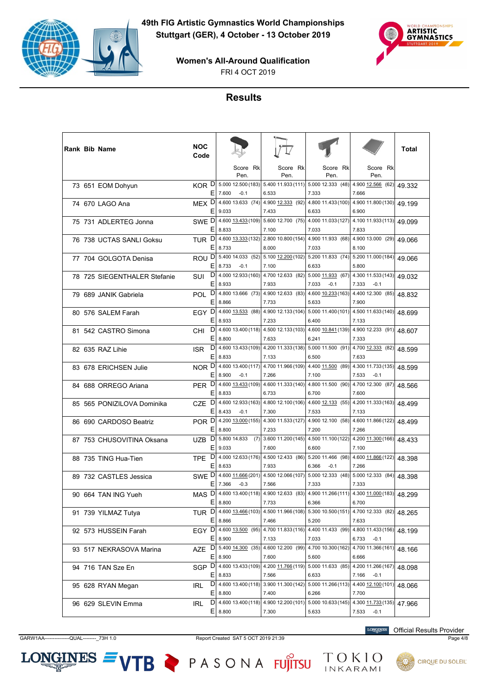



FRI 4 OCT 2019

## **Results**

|  | Rank Bib Name                | NOC<br>Code      |         |                                       |                                                                       |                                                |                                       | Total  |
|--|------------------------------|------------------|---------|---------------------------------------|-----------------------------------------------------------------------|------------------------------------------------|---------------------------------------|--------|
|  |                              |                  |         | Score Rk<br>Pen.                      | Score Rk<br>Pen.                                                      | Score Rk<br>Pen.                               | Score Rk<br>Pen.                      |        |
|  | 73 651 EOM Dohyun            | KOR <sup>D</sup> | Ε       | 7.600<br>$-0.1$                       | 5.000 12.500 (183) 5.400 11.933 (111) 5.000 12.333 (48)<br>6.533      | 7.333                                          | 4.900 12.566 (62)<br>7.666            | 49.332 |
|  | 74 670 LAGO Ana              | MEX <sub>D</sub> | Е       | 9.033                                 | 4.600 13.633 (74) 4.900 12.333 (92) 4.800 11.433 (100)<br>7.433       | 6.633                                          | 4.900 11.800 (130)<br>6.900           | 49.199 |
|  | 75 731 ADLERTEG Jonna        | SWE D            | Ε       | 4.600 13.433 (109)<br>8.833           | 7.100                                                                 | 5.600 12.700 (75) 4.000 11.033 (127)<br>7.033  | 4.100 11.933 (113)<br>7.833           | 49.099 |
|  | 76 738 UCTAS SANLI Goksu     | TUR <sup>D</sup> | Ε       | 4.600 13.333 (132)<br>8.733           | 8.000                                                                 | 2.800 10.800 (154) 4.900 11.933 (68)<br>7.033  | 4.900 13.000 (29)<br>8.100            | 49.066 |
|  | 77 704 GOLGOTA Denisa        | ROU <sup>D</sup> | Е       | 8.733<br>$-0.1$                       | 5.400 14.033 (52) 5.100 12.200 (102) 5.200 11.833 (74)<br>7.100       | 6.633                                          | 5.200 11.000 (184)<br>5.800           | 49.066 |
|  | 78 725 SIEGENTHALER Stefanie | SUI              | D<br>Ε  | 4.000 12.933 (160)<br>8.933           | 4.700 12.633 (82)<br>7.933                                            | 5.000 11.933 (67)<br>7.033<br>$-0.1$           | 4.300 11.533 (143)<br>7.333<br>$-0.1$ | 49.032 |
|  | 79 689 JANIK Gabriela        | <b>POL</b>       | D<br>Ε  | 8.866                                 | 4.800 13.666 (73) 4.900 12.633 (83) 4.600 10.233 (163)<br>7.733       | 5.633                                          | 4.400 12.300 (85)<br>7.900            | 48.832 |
|  | 80 576 SALEM Farah           | EGY D            | Е       | 8.933                                 | 4.600 13.533 (88) 4.900 12.133 (104) 5.000 11.400 (101)<br>7.233      | 6.400                                          | 4.500 11.633 (140)<br>7.133           | 48.699 |
|  | 81 542 CASTRO Simona         | CHI              | D<br>E  | 8.800                                 | 4.600 13.400 (118) 4.500 12.133 (103) 4.600 10.841 (139)<br>7.633     | 6.241                                          | 4.900 12.233 (91)<br>7.333            | 48.607 |
|  | 82 635 RAZ Lihie             | <b>ISR</b>       | D<br>Ε  | 8.833                                 | 4.600 13.433 (109) 4.200 11.333 (138) 5.000 11.500 (91)<br>7.133      | 6.500                                          | 4.700 12.333 (82)<br>7.633            | 48.599 |
|  | 83 678 ERICHSEN Julie        | NOR <sup>D</sup> | Е       | 8.900<br>$-0.1$                       | 4.600 13.400 (117) 4.700 11.966 (109) 4.400 11.500 (89)<br>7.266      | 7.100                                          | 4.300 11.733 (135)<br>7.533<br>$-0.1$ | 48.599 |
|  | 84 688 ORREGO Ariana         | <b>PER</b>       | D<br>Ε  | 8.833                                 | 4.600 13.433 (109) 4.600 11.333 (140) 4.800 11.500 (90)<br>6.733      | 6.700                                          | 4.700 12.300 (87)<br>7.600            | 48.566 |
|  | 85 565 PONIZILOVA Dominika   | CZE              | D<br>Ε  | 4.600 12.933 (163)<br>8.433<br>$-0.1$ | 7.300                                                                 | 4.800 12.100 (106) 4.600 12.133 (55)<br>7.533  | 4.200 11.333 (163)<br>7.133           | 48.499 |
|  | 86 690 CARDOSO Beatriz       | POR <sup>D</sup> | Е       | 8.800                                 | 4.200 13.000 (155) 4.300 11.533 (127) 4.900 12.100 (58)<br>7.233      | 7.200                                          | 4.600 11.866 (122)<br>7.266           | 48.499 |
|  | 87 753 CHUSOVITINA Oksana    | UZB              | D<br>Ε  | 5.800 14.833<br>(7)<br>9.033          | 7.600                                                                 | 3.600 11.200 (145) 4.500 11.100 (122)<br>6.600 | 4.200 11.300 (166)<br>7.100           | 48.433 |
|  | 88 735 TING Hua-Tien         | TPE              | D<br>Ε  | 8.633                                 | 4.000 12.633 (176) 4.500 12.433 (86) 5.200 11.466 (98)<br>7.933       | 6.366<br>$-0.1$                                | 4.600 11.866 (122)<br>7.266           | 48.398 |
|  | 89 732 CASTLES Jessica       | SWE <sup>D</sup> | Е       | 7.366<br>$-0.3$                       | 4.600 11.666 (201) 4.500 12.066 (107) 5.000 12.333 (48)<br>7.566      | 7.333                                          | 5.000 12.333 (84)<br>7.333            | 48.398 |
|  | 90 664 TAN ING Yueh          | MAS              | D<br>Ε  |                                       | 4.600 13.400 (118) 4.900 12.633 (83)                                  | 4.900 11.266 (111)                             | 4.300 11.000 (183)<br>6.700           | 48.299 |
|  | 91 739 YILMAZ Tutya          | TUR <sup>D</sup> |         | 8.800                                 | 7.733<br>4.600 13.466 (103) 4.500 11.966 (108) 5.300 10.500 (151)     | 6.366                                          | 4.700 12.333 (82)                     | 48.265 |
|  | 92 573 HUSSEIN Farah         | EGY D            | Ε       | 8.866                                 | 7.466<br>4.600 13.500 (95) 4.700 11.833 (116) 4.400 11.433 (99)       | 5.200                                          | 7.633<br>4.800 11.433 (156)           | 48.199 |
|  | 93 517 NEKRASOVA Marina      | AZE              | E.<br>D | 8.900<br>5.400 14.300 (35)            | 7.133<br>4.600 12.200 (99)                                            | 7.033<br>4.700 10.300 (162)                    | 6.733<br>$-0.1$<br>4.700 11.366 (161) | 48.166 |
|  | 94 716 TAN Sze En            | SGP D            | Е       | 8.900<br>4.600 13.433 (109)           | 7.600<br>4.200 11.766 (119)                                           | 5.600<br>5.000 11.633 (85)                     | 6.666<br>4.200 11.266 (167)           | 48.098 |
|  | 95 628 RYAN Megan            | IRL              | Ε       | 8.833                                 | 7.566<br>$D$ 4.600 13.400 (118) 3.900 11.300 (142) 5.000 11.266 (113) | 6.633                                          | 7.166<br>$-0.1$<br>4.400 12.100 (101) | 48.066 |
|  | 96 629 SLEVIN Emma           | IRL              | E<br>D  | 8.800<br>4.600 13.400 (118)           | 7.400                                                                 | 6.266<br>4.900 12.200 (101) 5.000 10.633 (145) | 7.700<br>4.300 11.733 (135)           | 47.966 |
|  |                              |                  | Ε       | 8.800                                 | 7.300                                                                 | 5.633                                          | 7.533<br>$-0.1$                       |        |

**LONGINES** Official Results Provider

 $LONGINES =$ 

GARW1AA---------------QUAL--------\_73H 1.0 Report Created SAT 5 OCT 2019 21:39 Page 4/8

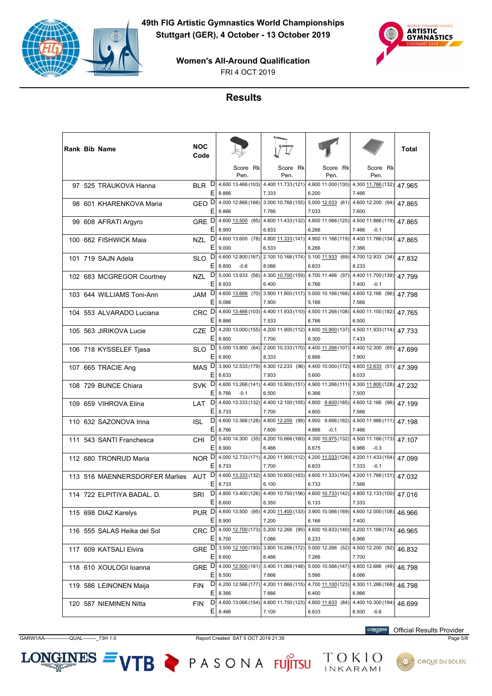



FRI 4 OCT 2019

## **Results**

|  | Rank Bib Name                  | NOC<br>Code      |         |                                   |                                                                   |                                                                   |                                       | Total  |
|--|--------------------------------|------------------|---------|-----------------------------------|-------------------------------------------------------------------|-------------------------------------------------------------------|---------------------------------------|--------|
|  |                                |                  |         | Score Rk<br>Pen.                  | Score Rk<br>Pen.                                                  | Score Rk<br>Pen.                                                  | Score Rk<br>Pen.                      |        |
|  | 97 525 TRAUKOVA Hanna          | <b>BLR</b>       | D<br>Ε  | 4.600 13.466 (103)<br>8.866       | 4.400 11.733 (121)<br>7.333                                       | 4.800 11.000 (130)<br>6.200                                       | 4.300 11.766 (132)<br>7.466           | 47.965 |
|  | 98 601 KHARENKOVA Maria        | GEO <sup>D</sup> | Ε       | 8.866                             | 4.000 12.866 (166) 3.000 10.766 (155) 5.000 12.033 (61)<br>7.766  | 7.033                                                             | 4.600 12.200 (94)<br>7.600            | 47.865 |
|  | 99 608 AFRATI Argyro           | GRE D            | Ε       | 8.900                             | 6.833                                                             | 4.600 13.500 (95) 4.600 11.433 (132) 4.800 11.066 (125)<br>6.266  | 4.500 11.866 (119)<br>7.466<br>$-0.1$ | 47.865 |
|  | 100 682 FISHWICK Maia          | <b>NZL</b>       | D<br>Ε  | 4.600 13.600 (78)<br>9.000        | 4.800 11.333 (141)<br>6.533                                       | 4.900 11.166 (119)<br>6.266                                       | 4.400 11.766 (134)<br>7.366           | 47.865 |
|  | 101 719 SAJN Adela             | SLO              | D<br>Ε  | 8.800<br>$-0.6$                   | 4.600 12.800 (167) 2.100 10.166 (174) 5.100 11.933 (69)<br>8.066  | 6.833                                                             | 4.700 12.933 (34)<br>8.233            | 47.832 |
|  | 102 683 MCGREGOR Courtney      | NZL              | D<br>Ε  | 5.000 13.933 (56)<br>8.933        | 6.400                                                             | 4.300 10.700 (159) 4.700 11.466 (97)<br>6.766                     | 4.400 11.700 (139)<br>7.400<br>$-0.1$ | 47.799 |
|  | 103 644 WILLIAMS Toni-Ann      | <b>JAM</b>       | D<br>Ε  | 4.600 13.666 (70)<br>9.066        | 3.900 11.800 (117)<br>7.900                                       | 5.000 10.166 (168)<br>5.166                                       | 4.600 12.166 (96)<br>7.566            | 47.798 |
|  | 104 553 ALVARADO Luciana       | CRC <sup>D</sup> | Ε       | 8.866                             | 4.600 13.466 (103) 4.400 11.933 (110) 4.500 11.266 (108)<br>7.533 | 6.766                                                             | 4.600 11.100 (182)<br>6.500           | 47.765 |
|  | 105 563 JIRIKOVA Lucie         | CZE              | D<br>E  | 8.800                             | 7.700                                                             | 4.200 13.000 (155) 4.200 11.900 (112) 4.600 10.900 (137)<br>6.300 | 4.500 11.933 (114)<br>7.433           | 47.733 |
|  | 106 718 KYSSELEF Tjasa         | <b>SLO</b>       | D<br>Ε  | 5.000 13.800 (64)<br>8.800        | 2.000 10.333 (170)<br>8.333                                       | 4.400 11.266 (107)<br>6.866                                       | 4.400 12.300 (85)<br>7.900            | 47.699 |
|  | 107 665 TRACIE Ang             | MAS <sub>D</sub> | Ε       | 8.633                             | 3.900 12.533 (179) 4.300 12.233 (96)<br>7.933                     | 4.400 10.000 (172)<br>5.600                                       | 4.600 12.633 (51)<br>8.033            | 47.399 |
|  | 108 729 BUNCE Chiara           | <b>SVK</b>       | D<br>Ε  | 8.766<br>$-0.1$                   | 6.500                                                             | 4.600 13.266 (141) 4.400 10.900 (151) 4.900 11.266 (111)<br>6.366 | 4.300 11.800 (128)<br>7.500           | 47.232 |
|  | 109 659 VIHROVA Elina          | LAT              | D<br>Ε  | 4.600 13.333 (132)<br>8.733       | 4.400 12.100 (105)<br>7.700                                       | 4.800 9.600 (185)<br>4.800                                        | 4.600 12.166 (96)<br>7.566            | 47.199 |
|  | 110 632 SAZONOVA Irina         | ISL              | D<br>Ε  | 8.766                             | 4.600 13.366 (128) 4.600 12.200 (99)<br>7.600                     | 4.900 9.666 (182)<br>4.866<br>$-0.1$                              | 4.500 11.966 (111)<br>7.466           | 47.198 |
|  | 111 543 SANTI Franchesca       | CHI              | D<br>Ε  | 8.900                             | 6.466                                                             | 5.400 14.300 (35) 4.200 10.666 (160) 4.300 10.975 (132)<br>6.675  | 4.500 11.166 (173)<br>6.966<br>$-0.3$ | 47.107 |
|  | 112 680 TRONRUD Maria          | NOR D            | Ε       | 4.000 12.733 (171)<br>8.733       | 4.200 11.900 (112)<br>7.700                                       | 4.200 11.033 (128)<br>6.833                                       | 4.200 11.433 (154)<br>7.333<br>$-0.1$ | 47.099 |
|  | 113 516 MAENNERSDORFER Marlies | AUT              | D<br>Ε  | 8.733                             | 4.600 13.333 (132) 4.500 10.600 (163)<br>6.100                    | 4.600 11.333 (104)<br>6.733                                       | 4.200 11.766 (131)<br>7.566           | 47.032 |
|  | 114 722 ELPITIYA BADAL, D.     | SRI              | D<br>Е  | 8.600                             | 6.350                                                             | 4.800 13.400 (126) 4.400 10.750 (156) 4.600 10.733 (142)<br>6.133 | 4.800 12.133 (100)<br>7.333           | 47.016 |
|  | 115 698 DIAZ Karelys           | PUR D            | Ε       | 4.600 13.500 (95)<br>8.900        | 4.200 11.400 (133)<br>7.200                                       | 3.900 10.066 (169)<br>6.166                                       | 4.600 12.000 (108)<br>7.400           | 46.966 |
|  | 116 555 SALAS Heika del Sol    | CRC <sub>D</sub> | Ε       | 4.000 12.700 (173)<br>8.700       | 5.200 12.266 (95)<br>7.066                                        | 4.600 10.833 (140)<br>6.233                                       | 4.200 11.166 (174)<br>6.966           | 46.965 |
|  | 117 609 KATSALI Elvira         |                  | Ε       | GRE D 3.500 12.100 (193)<br>8.600 | 6.466                                                             | 3.800 10.266 (172) 5.000 12.266 (52)<br>7.266                     | 4.500 12.200 (92)<br>7.700            | 46.832 |
|  | 118 610 XOULOGI Ioanna         | GRE D            | Ε       | 4.000 12.500 (181)<br>8.500       | 3.400 11.066 (148)<br>7.666                                       | 5.000 10.566 (147)<br>5.566                                       | 4.600 12.666 (49)<br>8.066            | 46.798 |
|  | 119 586 LEINONEN Maija         | FIN              | D<br>E, | 4.200 12.566 (177)<br>8.366       | 7.666                                                             | 4.200 11.866 (115) 4.700 11.100 (123)<br>6.400                    | 4.300 11.266 (168)<br>6.966           | 46.798 |
|  | 120 587 NIEMINEN Nitta         | FIN              | E.      | $D$ 4.600 13.066 (154)<br>8.466   | 7.100                                                             | 4.600 11.700 (123) 4.800 11.633 (84)<br>6.833                     | 4.400 10.300 (194)<br>6.500<br>$-0.6$ | 46.699 |

GARW1AA---------------QUAL--------\_73H 1.0 Report Created SAT 5 OCT 2019 21:39 Page 5/8

 $LONGINES =$ 

VTB PASONA FUJITSU TOKIO

**LONGINES** Official Results Provider

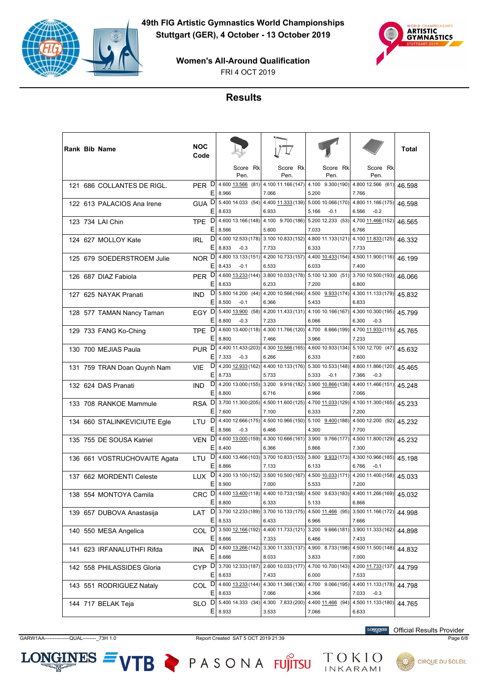



FRI 4 OCT 2019

# **Results**

|  | Rank Bib Name                | NOC<br>Code      |         |                                               |                                               |                                                                   |                                       | Total  |
|--|------------------------------|------------------|---------|-----------------------------------------------|-----------------------------------------------|-------------------------------------------------------------------|---------------------------------------|--------|
|  |                              |                  |         | Score Rk<br>Pen.                              | Score Rk<br>Pen.                              | Score Rk<br>Pen.                                                  | Score Rk<br>Pen.                      |        |
|  | 121 686 COLLANTES DE RIGL.   | PER D            | Ε       | $4.600 \underline{13.566}$ (81)<br>8.966      | 7.066                                         | 4.100 11.166 (147) 4.100 9.300 (190)<br>5.200                     | 4.800 12.566 (61)<br>7.766            | 46.598 |
|  | 122 613 PALACIOS Ana Irene   | GUA <sup>D</sup> | E.      | 5.400 14.033 (54)<br>8.633                    | 6.933                                         | 4.400 11.333 (139) 5.000 10.066 (170)<br>5.166<br>$-0.1$          | 4.800 11.166 (175)<br>6.566<br>$-0.2$ | 46.598 |
|  | 123 734 LAI Chin             | <b>TPE</b>       | D<br>Е  | 4.600 13.166 (148)<br>8.566                   | 5.600                                         | 4.100 9.700 (186) 5.200 12.233 (53)<br>7.033                      | 4.700 11.466 (152)<br>6.766           | 46.565 |
|  | 124 627 MOLLOY Kate          | <b>IRL</b>       | D<br>Ε  | 4.000 12.533 (178)<br>8.833<br>$-0.3$         | 7.733                                         | 3.100 10.833 (152) 4.800 11.133 (121) 4.100 11.833 (125)<br>6.333 | 7.733                                 | 46.332 |
|  | 125 679 SOEDERSTROEM Julie   | NOR <sub>D</sub> | E.      | 4.800 13.133 (151)<br>8.433<br>$-0.1$         | 6.533                                         | 4.200 10.733 (157) 4.400 10.433 (154)<br>6.033                    | 4.500 11.900 (116)<br>7.400           | 46.199 |
|  | 126 687 DIAZ Fabiola         | PER D            | Е       | 4.600 13.233 (144)<br>8.633                   | 6.233                                         | 3.800 10.033 (178) 5.100 12.300 (51)<br>7.200                     | 3.700 10.500 (193)<br>6.800           | 46.066 |
|  | 127 625 NAYAK Pranati        | <b>IND</b>       | D<br>Е  | 5.800 14.200 (44)<br>8.500<br>$-0.1$          | 6.366                                         | 4.200 10.566 (164) $\mid$ 4.500 9.933 (174)<br>5.433              | 4.300 11.133 (179)<br>6.833           | 45.832 |
|  | 128 577 TAMAN Nancy Taman    | EGY D            | E.      | 5.400 13.900 (58)<br>8.800<br>$-0.3$          | 7.233                                         | 4.200 11.433 (131) 4.100 10.166 (167)<br>6.066                    | 4.300 10.300 (195)<br>6.300<br>$-0.3$ | 45.799 |
|  | 129 733 FANG Ko-Ching        | TPE              | D<br>Е  | 4.600 13.400 (118)<br>8.800                   | 7.466                                         | 4.300 11.766 (120) 4.700 8.666 (199)<br>3.966                     | 4.700 11.933 (115)<br>7.233           | 45.765 |
|  | 130 700 MEJIAS Paula         | PUR D            | E.      | 4.400 11.433 (203)<br>7.333<br>$-0.3$         | 6.266                                         | 4.300 10.566 (165) 4.600 10.933 (134) 5.100 12.700 (47)<br>6.333  | 7.600                                 | 45.632 |
|  | 131 759 TRAN Doan Quynh Nam  | <b>VIE</b>       | E.      | $D$   4.200 12.933 (162)<br>8.733             | 5.733                                         | 4.400 10.133 (176) 5.300 10.533 (148)<br>5.333<br>$-0.1$          | 4.800 11.866 (120)<br>7.366<br>$-0.3$ | 45.465 |
|  | 132 624 DAS Pranati          | <b>IND</b>       | D<br>Е  | 4.200 13.000 (155)<br>8.800                   | 3.200 9.916 (182) 3.900 10.866 (138)<br>6.716 | 6.966                                                             | 4.400 11.466 (151)<br>7.066           | 45.248 |
|  | 133 708 RANKOE Mammule       | <b>RSA</b>       | D<br>E. | 3.700 11.300 (205)<br>7.600                   | 7.100                                         | 4.500 11.600 (125) 4.700 11.033 (129)<br>6.333                    | 4.100 11.300 (165)<br>7.200           | 45.233 |
|  | 134 660 STALINKEVICIUTE Egle | LTU              | D<br>E. | 4.400 12.666 (175)<br>8.566<br>$-0.3$         | 6.466                                         | 4.500 10.966 (150) 5.100 9.400 (188)<br>4.300                     | 4.500 12.200 (92)<br>7.700            | 45.232 |
|  | 135 755 DE SOUSA Katriel     | <b>VEN</b>       | D<br>Е  | 4.600 13.000 (159)<br>8.400                   | 6.366                                         | 4.300 10.666 (161) 3.900 9.766 (177)<br>5.866                     | 4.500 11.800 (129)<br>7.300           | 45.232 |
|  | 136 661 VOSTRUCHOVAITE Agata | LTU              | D<br>Е  | 4.600 13.466 (103)<br>8.866                   | 7.133                                         | 3.700 10.833 (153) 3.800 9.933 (173)<br>6.133                     | 4.300 10.966 (185)<br>6.766<br>$-0.1$ | 45.198 |
|  | 137 662 MORDENTI Celeste     | LUX <sup>D</sup> | Е       | 8.900                                         | 7.000                                         | 4.200 13.100 (152) 3.500 10.500 (167) 4.500 10.033 (171)<br>5.533 | 4.200 11.400 (158)<br>7.200           | 45.033 |
|  | 138 554 MONTOYA Camila       | CRC              | D<br>Ε  |                                               |                                               | 4.600 13.400 (118) 4.400 10.733 (158) 4.500 9.633 (183)<br>5.133  | 4.400 11.266 (169)<br>6.866           | 45.032 |
|  | 139 657 DUBOVA Anastasija    | LAT              | D<br>Е  | 8.800<br>3.700 12.233 (189)                   | 6.333<br>3.700 10.133 (175)                   | 4.500 11.466 (95)                                                 | 3.500 11.166 (172)                    | 44.998 |
|  | 140 550 MESA Angelica        |                  |         | 8.533<br>COL D 3.500 12.166 (192)             | 6.433                                         | 6.966<br>4.400 11.733 (121) 3.200 9.666 (181)                     | 7.666<br>3.900 11.333 (162)           | 44.898 |
|  | 141 623 IRFANALUTHFI Rifda   | INA              |         | $E$   8.666<br>$D$ 4.600 13.266 (142)         | 7.333<br>3.300 11.333 (137)                   | 6.466<br>4.900 8.733 (198)                                        | 7.433<br>4.500 11.500 (148)           | 44.832 |
|  | 142 558 PHILASSIDES Gloria   | CYP <sub>D</sub> | E.      | 8.666<br>3.700 12.333 (187)                   | 8.033<br>2.600 10.033 (177)                   | 3.833<br>4.700 10.700 (143)                                       | 7.000<br>4.200 11.733 (137)           | 44.799 |
|  | 143 551 RODRIGUEZ Nataly     |                  | Е       | 8.633<br>COL D 4.600 13.233 (144)             | 7.433                                         | 6.000<br>4.300 11.366 (136) 4.700 9.066 (195)                     | 7.533<br>4.400 11.133 (178)           | 44.798 |
|  | 144 717 BELAK Teja           | SLO              |         | $E$   8.633<br>D 5.400 14.333 (34)<br>E 8.933 | 7.066                                         | 4.366<br>4.300 7.833 (200) 4.400 11.466 (94)                      | 7.033<br>$-0.3$<br>4.500 11.133 (180) | 44.765 |
|  |                              |                  |         |                                               | 3.533                                         | 7.066                                                             | 6.633                                 |        |

GARW1AA---------------QUAL--------\_73H 1.0 Report Created SAT 5 OCT 2019 21:39 Page 6/8

 $LONGINES =$ 

**LONGINES** Official Results Provider



VTB PASONA FUJITSU TOKIO

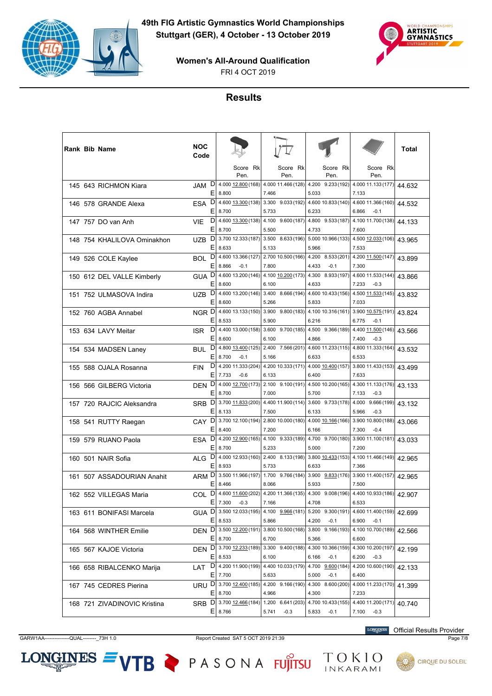



FRI 4 OCT 2019

# **Results**

|  | Rank Bib Name                | NOC<br>Code       |         |                                                |                                                                       |                                                                                  |                                        | Total  |
|--|------------------------------|-------------------|---------|------------------------------------------------|-----------------------------------------------------------------------|----------------------------------------------------------------------------------|----------------------------------------|--------|
|  |                              |                   |         | Score Rk<br>Pen.                               | Score Rk<br>Pen.                                                      | Score Rk<br>Pen.                                                                 | Score Rk<br>Pen.                       |        |
|  | 145 643 RICHMON Kiara        | JAM               | D<br>Ε  | 8.800                                          | 7.466                                                                 | 4.000 12.800 (168) 4.000 11.466 (128) 4.200 9.233 (192)<br>5.033                 | 4.000 11.133 (177)<br>7.133            | 44.632 |
|  | 146 578 GRANDE Alexa         | ESA               | D<br>Е  | 8.700                                          | 5.733                                                                 | 4.600 13.300 (138) 3.300 9.033 (192) 4.600 10.833 (140)<br>6.233                 | 4.600 11.366 (160)<br>6.866<br>$-0.1$  | 44.532 |
|  | 147 757 DO van Anh           | <b>VIE</b>        | D<br>E  | 8.700                                          | 4.600 13.300 (138) 4.100 9.600 (187)<br>5.500                         | 4.800 9.533 (187)<br>4.733                                                       | 4.100 11.700 (138)<br>7.600            | 44.133 |
|  | 148 754 KHALILOVA Ominakhon  | <b>UZB</b>        | D<br>Ε  | 8.633                                          | 5.133                                                                 | 3.700 12.333 (187) 3.500 8.633 (196) 5.000 10.966 (133)<br>5.966                 | 4.500 12.033 (106)<br>7.533            | 43.965 |
|  | 149 526 COLE Kaylee          | BOL               | D<br>Е  | 8.866<br>$-0.1$                                | 7.800                                                                 | 4.600 13.366 (127) 2.700 10.500 (166) 4.200 8.533 (201)<br>4.433<br>$-0.1$       | 4.200 11.500 (147)<br>7.300            | 43.899 |
|  | 150 612 DEL VALLE Kimberly   | GUA D             | Ε       | 4.600 13.200 (146)<br>8.600                    | 6.100                                                                 | 4.100 10.200 (173) 4.300 8.933 (197)<br>4.633                                    | 4.600 11.533 (144)<br>7.233<br>$-0.3$  | 43.866 |
|  | 151 752 ULMASOVA Indira      | UZB               | D<br>Ε  | 8.600                                          | 5.266                                                                 | 4.600 13.200 (146) 3.400 8.666 (194) 4.600 10.433 (156)<br>5.833                 | 4.500 11.533 (145)<br>7.033            | 43.832 |
|  | 152 760 AGBA Annabel         | NGR <sub>D</sub>  | Е       | 8.533                                          | 5.900                                                                 | 4.600 13.133 (150) 3.900 9.800 (183) 4.100 10.316 (161)<br>6.216                 | 3.900 10.575 (191)<br>6.775<br>$-0.1$  | 43.824 |
|  | 153 634 LAVY Meitar          | <b>ISR</b>        | D<br>E  | 8.600                                          | 6.100                                                                 | 4.400 13.000 (158) 3.600 9.700 (185) 4.500 9.366 (189)<br>4.866                  | 4.400 11.500 (146)<br>7.400<br>$-0.3$  | 43.566 |
|  | 154 534 MADSEN Laney         | <b>BUL</b>        | D<br>Ε  | 4.800 13.400 (125)<br>8.700<br>$-0.1$          | 5.166                                                                 | 2.400 7.566 (201) 4.600 11.233 (115)<br>6.633                                    | 4.800 11.333 (164)<br>6.533            | 43.532 |
|  | 155 588 OJALA Rosanna        | <b>FIN</b>        | D<br>Ε  | 4.200 11.333 (204)                             | 6.133                                                                 | 4.200 10.333 (171) 4.000 10.400 (157)<br>6.400                                   | 3.800 11.433 (153)<br>7.633            | 43.499 |
|  | 156 566 GILBERG Victoria     | <b>DEN</b>        | D<br>Ε  | 7.733<br>$-0.6$<br>4.000 12.700 (173)<br>8.700 | 7.000                                                                 | 2.100 9.100 (191) 4.500 10.200 (165)<br>5.700                                    | 4.300 11.133 (176)<br>7.133<br>$-0.3$  | 43.133 |
|  | 157 720 RAJCIC Aleksandra    | SRB               | D<br>Ε  | 8.133                                          | 7.500                                                                 | 3.700 11.833 (200) 4.400 11.900 (114) 3.600 9.733 (178)<br>6.133                 | 4.000<br>9.666(199)<br>5.966<br>$-0.3$ | 43.132 |
|  | 158 541 RUTTY Raegan         | CAY D             | Е       | 8.400                                          | 7.200                                                                 | 3.700 12.100 (194) 2.800 10.000 (180) 4.000 10.166 (166)<br>6.166                | 3.900 10.800 (188)<br>7.300<br>$-0.4$  | 43.066 |
|  | 159 579 RUANO Paola          | <b>ESA</b>        | D<br>Ε  | 8.700                                          | 4.200 12.900 (165) 4.100 9.333 (189)<br>5.233                         | 4.700 9.700 (180)<br>5.000                                                       | 3.900 11.100 (181)<br>7.200            | 43.033 |
|  | 160 501 NAIR Sofia           | ALG               | D<br>Ε  | 8.933                                          | 5.733                                                                 | 4.000 12.933 (160) 2.400 8.133 (198) 3.800 10.433 (153)<br>6.633                 | 4.100 11.466 (149)<br>7.366            | 42.965 |
|  | 161 507 ASSADOURIAN Anahit   | ARM <sub>D</sub>  | Е       | 8.466                                          | 8.066                                                                 | 3.500 11.966 (197) 1.700 9.766 (184) 3.900 9.833 (176)<br>5.933                  | 3.900 11.400 (157)<br>7.500            | 42.965 |
|  | 162 552 VILLEGAS Maria       | COL               | D<br>Ε  |                                                |                                                                       | 4.600 11.600 (202) 4.200 11.366 (135) 4.300 9.008 (196)                          | 4.400 10.933 (186)                     | 42.907 |
|  | 163 611 BONIFASI Marcela     | GUA <sup>DI</sup> |         | 7.300<br>$-0.3$<br>8.533                       | 7.166                                                                 | 4.708<br>3.500 12.033 (195) 4.100 9.966 (181) 5.200 9.300 (191)                  | 6.533<br>4.600 11.400 (159)            | 42.699 |
|  | 164 568 WINTHER Emilie       |                   | Ε       |                                                | 5.866                                                                 | 4.200<br>$-0.1$<br>DEN D 3.500 12.200 (191) 3.800 10.500 (168) 3.800 9.166 (193) | 6.900<br>$-0.1$<br>4.100 10.700 (189)  | 42.566 |
|  | 165 567 KAJOE Victoria       |                   | Е       | 8.700<br>DEN D 3.700 12.233 (189)              | 6.700                                                                 | 5.366<br>3.300 9.400 (188) 4.300 10.366 (159)                                    | 6.600<br>4.300 10.200 (197)            | 42.199 |
|  | 166 658 RIBALCENKO Marija    | LAT               | E.<br>D | 8.533<br>4.200 11.900 (199)                    | 6.100<br>4.400 10.033 (179) 4.700 9.600 (184)                         | $-0.1$<br>6.166                                                                  | 6.200<br>$-0.3$<br>4.200 10.600 (190)  | 42.133 |
|  | 167 745 CEDRES Pierina       |                   | Е       | 7.700                                          | 5.633<br>URU D 3.700 12.400 (185) 4.200 9.166 (190) 4.300 8.600 (200) | 5.000<br>$-0.1$                                                                  | 6.400<br>4.000 11.233 (170)            | 41.399 |
|  | 168 721 ZIVADINOVIC Kristina |                   |         | $E$   8.700<br>SRB D 3.700 12.466 (184)        | 4.966                                                                 | 4.300<br>1.200 6.641 (203) 4.700 10.433 (155)                                    | 7.233<br>4.400 11.200 (171)            | 40.740 |
|  |                              |                   |         | $E$ 8.766                                      | 5.741<br>$-0.3$                                                       | 5.833<br>$-0.1$                                                                  | 7.100<br>$-0.3$                        |        |

**LONGINES** Official Results Provider

TOKIO<br>INKARAMI

 $LONGINES =$ 

VTB PASONA FUJITSU